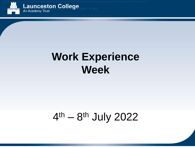I am in the process of once again planning a similar week for 2015 and was hoping you would be interested in taking part?



Our Work Related Learning week will be taking place on the **29th June – 3 rd July.**

If you would like any more information please do not hesitate to contact me at the College.

### **Work Experience Week**

#### 4<sup>th</sup> – 8<sup>th</sup> July 2022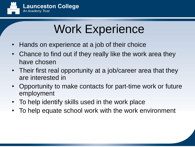

# Work Experience

- Hands on experience at a job of their choice
- Chance to find out if they really like the work area they have chosen
- Their first real opportunity at a job/career area that they are interested in
- Opportunity to make contacts for part-time work or future employment
- To help identify skills used in the work place
- To help equate school work with the work environment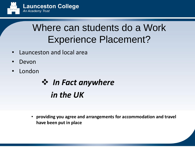

#### Where can students do a Work Experience Placement?

- Launceston and local area
- Devon
- **London**

#### ❖ *In Fact anywhere in the UK*

• **providing you agree and arrangements for accommodation and travel have been put in place**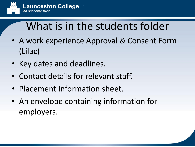

## What is in the students folder

- A work experience Approval & Consent Form (Lilac)
- Key dates and deadlines.
- Contact details for relevant staff.
- Placement Information sheet.
- An envelope containing information for employers.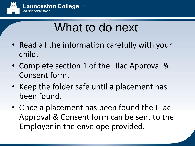

# What to do next

- Read all the information carefully with your child.
- Complete section 1 of the Lilac Approval & Consent form.
- Keep the folder safe until a placement has been found.
- Once a placement has been found the Lilac Approval & Consent form can be sent to the Employer in the envelope provided.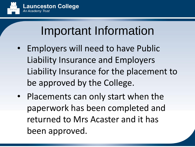

# Important Information

- Employers will need to have Public Liability Insurance and Employers Liability Insurance for the placement to be approved by the College.
- Placements can only start when the paperwork has been completed and returned to Mrs Acaster and it has been approved.